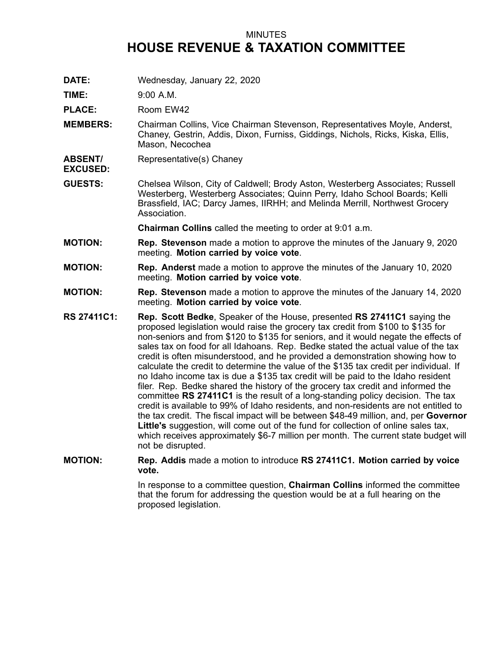## MINUTES **HOUSE REVENUE & TAXATION COMMITTEE**

**DATE:** Wednesday, January 22, 2020

**TIME:** 9:00 A.M.

PLACE: Room EW42

- **MEMBERS:** Chairman Collins, Vice Chairman Stevenson, Representatives Moyle, Anderst, Chaney, Gestrin, Addis, Dixon, Furniss, Giddings, Nichols, Ricks, Kiska, Ellis, Mason, Necochea
- **ABSENT/** Representative(s) Chaney
- **EXCUSED:**
- **GUESTS:** Chelsea Wilson, City of Caldwell; Brody Aston, Westerberg Associates; Russell Westerberg, Westerberg Associates; Quinn Perry, Idaho School Boards; Kelli Brassfield, IAC; Darcy James, IIRHH; and Melinda Merrill, Northwest Grocery Association.

**Chairman Collins** called the meeting to order at 9:01 a.m.

- **MOTION: Rep. Stevenson** made <sup>a</sup> motion to approve the minutes of the January 9, 2020 meeting. **Motion carried by voice vote**.
- **MOTION: Rep. Anderst** made <sup>a</sup> motion to approve the minutes of the January 10, 2020 meeting. **Motion carried by voice vote**.
- **MOTION: Rep. Stevenson** made <sup>a</sup> motion to approve the minutes of the January 14, 2020 meeting. **Motion carried by voice vote**.
- **RS 27411C1: Rep. Scott Bedke**, Speaker of the House, presented **RS 27411C1** saying the proposed legislation would raise the grocery tax credit from \$100 to \$135 for non-seniors and from \$120 to \$135 for seniors, and it would negate the effects of sales tax on food for all Idahoans. Rep. Bedke stated the actual value of the tax credit is often misunderstood, and he provided <sup>a</sup> demonstration showing how to calculate the credit to determine the value of the \$135 tax credit per individual. If no Idaho income tax is due <sup>a</sup> \$135 tax credit will be paid to the Idaho resident filer. Rep. Bedke shared the history of the grocery tax credit and informed the committee **RS 27411C1** is the result of <sup>a</sup> long-standing policy decision. The tax credit is available to 99% of Idaho residents, and non-residents are not entitled to the tax credit. The fiscal impact will be between \$48-49 million, and, per **Governor Little's** suggestion, will come out of the fund for collection of online sales tax, which receives approximately \$6-7 million per month. The current state budget will not be disrupted.
- **MOTION: Rep. Addis** made <sup>a</sup> motion to introduce **RS 27411C1. Motion carried by voice vote.**

In response to <sup>a</sup> committee question, **Chairman Collins** informed the committee that the forum for addressing the question would be at <sup>a</sup> full hearing on the proposed legislation.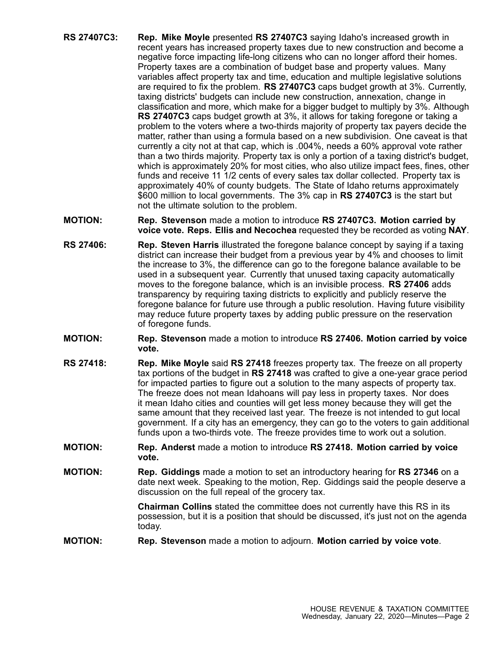- **RS 27407C3: Rep. Mike Moyle** presented **RS 27407C3** saying Idaho's increased growth in recent years has increased property taxes due to new construction and become <sup>a</sup> negative force impacting life-long citizens who can no longer afford their homes. Property taxes are <sup>a</sup> combination of budget base and property values. Many variables affect property tax and time, education and multiple legislative solutions are required to fix the problem. **RS 27407C3** caps budget growth at 3%. Currently, taxing districts' budgets can include new construction, annexation, change in classification and more, which make for <sup>a</sup> bigger budget to multiply by 3%. Although **RS 27407C3** caps budget growth at 3%, it allows for taking foregone or taking <sup>a</sup> problem to the voters where <sup>a</sup> two-thirds majority of property tax payers decide the matter, rather than using <sup>a</sup> formula based on <sup>a</sup> new subdivision. One caveat is that currently <sup>a</sup> city not at that cap, which is .004%, needs <sup>a</sup> 60% approval vote rather than <sup>a</sup> two thirds majority. Property tax is only <sup>a</sup> portion of <sup>a</sup> taxing district's budget, which is approximately 20% for most cities, who also utilize impact fees, fines, other funds and receive 11 1/2 cents of every sales tax dollar collected. Property tax is approximately 40% of county budgets. The State of Idaho returns approximately \$600 million to local governments. The 3% cap in **RS 27407C3** is the start but not the ultimate solution to the problem.
- **MOTION: Rep. Stevenson** made <sup>a</sup> motion to introduce **RS 27407C3. Motion carried by voice vote. Reps. Ellis and Necochea** requested they be recorded as voting **NAY**.
- **RS 27406: Rep. Steven Harris** illustrated the foregone balance concept by saying if <sup>a</sup> taxing district can increase their budget from <sup>a</sup> previous year by 4% and chooses to limit the increase to 3%, the difference can go to the foregone balance available to be used in <sup>a</sup> subsequent year. Currently that unused taxing capacity automatically moves to the foregone balance, which is an invisible process. **RS 27406** adds transparency by requiring taxing districts to explicitly and publicly reserve the foregone balance for future use through <sup>a</sup> public resolution. Having future visibility may reduce future property taxes by adding public pressure on the reservation of foregone funds.
- **MOTION: Rep. Stevenson** made <sup>a</sup> motion to introduce **RS 27406. Motion carried by voice vote.**
- **RS 27418: Rep. Mike Moyle** said **RS 27418** freezes property tax. The freeze on all property tax portions of the budget in **RS 27418** was crafted to give <sup>a</sup> one-year grace period for impacted parties to figure out <sup>a</sup> solution to the many aspects of property tax. The freeze does not mean Idahoans will pay less in property taxes. Nor does it mean Idaho cities and counties will get less money because they will get the same amount that they received last year. The freeze is not intended to gut local government. If <sup>a</sup> city has an emergency, they can go to the voters to gain additional funds upon <sup>a</sup> two-thirds vote. The freeze provides time to work out <sup>a</sup> solution.
- **MOTION: Rep. Anderst** made <sup>a</sup> motion to introduce **RS 27418. Motion carried by voice vote.**
- **MOTION: Rep. Giddings** made <sup>a</sup> motion to set an introductory hearing for **RS 27346** on <sup>a</sup> date next week. Speaking to the motion, Rep. Giddings said the people deserve <sup>a</sup> discussion on the full repeal of the grocery tax.

**Chairman Collins** stated the committee does not currently have this RS in its possession, but it is <sup>a</sup> position that should be discussed, it's just not on the agenda today.

**MOTION: Rep. Stevenson** made <sup>a</sup> motion to adjourn. **Motion carried by voice vote**.